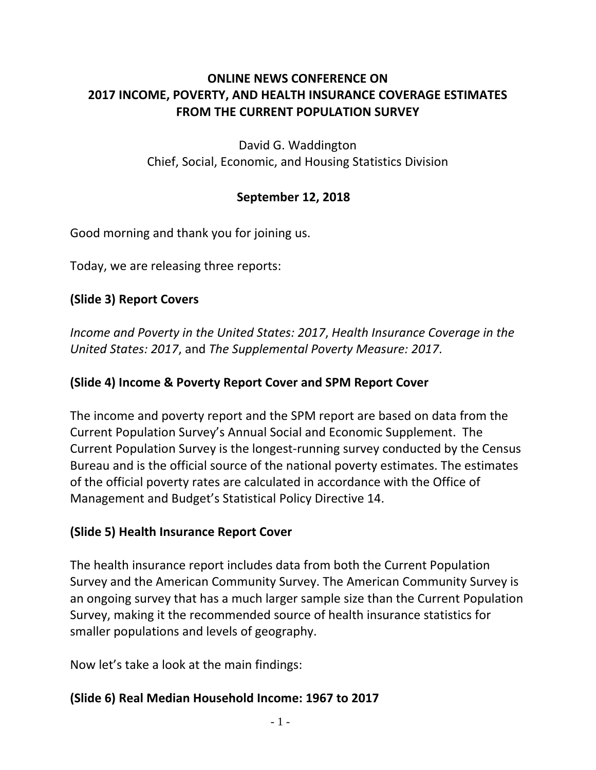# **ONLINE NEWS CONFERENCE ON 2017 INCOME, POVERTY, AND HEALTH INSURANCE COVERAGE ESTIMATES FROM THE CURRENT POPULATION SURVEY**

David G. Waddington Chief, Social, Economic, and Housing Statistics Division

#### **September 12, 2018**

Good morning and thank you for joining us.

Today, we are releasing three reports:

# **(Slide 3) Report Covers**

*Income and Poverty in the United States: 2017*, *Health Insurance Coverage in the United States: 2017*, and *The Supplemental Poverty Measure: 2017*.

#### **(Slide 4) Income & Poverty Report Cover and SPM Report Cover**

The income and poverty report and the SPM report are based on data from the Current Population Survey's Annual Social and Economic Supplement. The Current Population Survey is the longest-running survey conducted by the Census Bureau and is the official source of the national poverty estimates. The estimates of the official poverty rates are calculated in accordance with the Office of Management and Budget's Statistical Policy Directive 14.

# **(Slide 5) Health Insurance Report Cover**

The health insurance report includes data from both the Current Population Survey and the American Community Survey. The American Community Survey is an ongoing survey that has a much larger sample size than the Current Population Survey, making it the recommended source of health insurance statistics for smaller populations and levels of geography.

Now let's take a look at the main findings:

# **(Slide 6) Real Median Household Income: 1967 to 2017**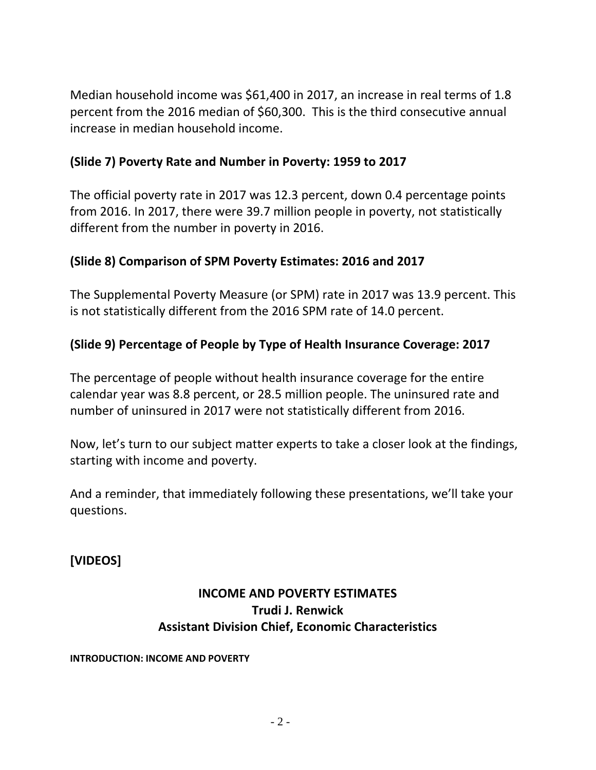Median household income was \$61,400 in 2017, an increase in real terms of 1.8 percent from the 2016 median of \$60,300. This is the third consecutive annual increase in median household income.

#### **(Slide 7) Poverty Rate and Number in Poverty: 1959 to 2017**

The official poverty rate in 2017 was 12.3 percent, down 0.4 percentage points from 2016. In 2017, there were 39.7 million people in poverty, not statistically different from the number in poverty in 2016.

# **(Slide 8) Comparison of SPM Poverty Estimates: 2016 and 2017**

The Supplemental Poverty Measure (or SPM) rate in 2017 was 13.9 percent. This is not statistically different from the 2016 SPM rate of 14.0 percent.

# **(Slide 9) Percentage of People by Type of Health Insurance Coverage: 2017**

The percentage of people without health insurance coverage for the entire calendar year was 8.8 percent, or 28.5 million people. The uninsured rate and number of uninsured in 2017 were not statistically different from 2016.

Now, let's turn to our subject matter experts to take a closer look at the findings, starting with income and poverty.

And a reminder, that immediately following these presentations, we'll take your questions.

**[VIDEOS]**

# **INCOME AND POVERTY ESTIMATES Trudi J. Renwick Assistant Division Chief, Economic Characteristics**

#### **INTRODUCTION: INCOME AND POVERTY**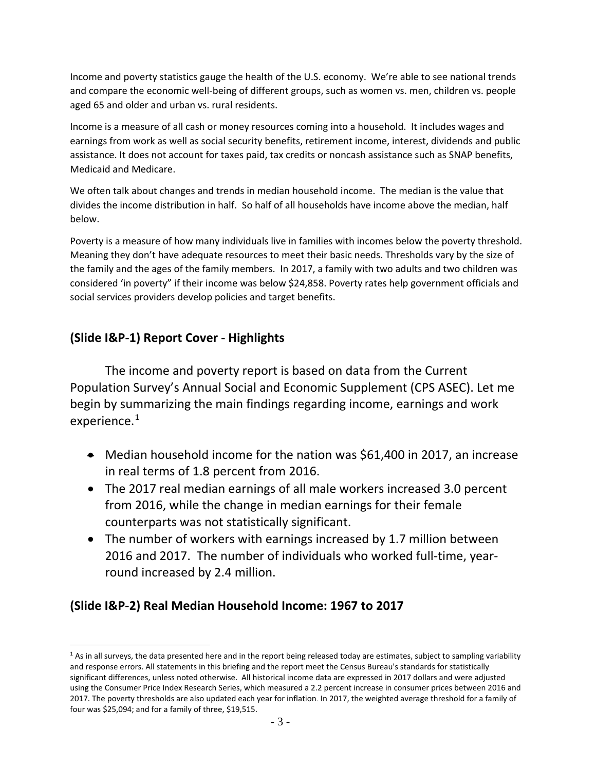Income and poverty statistics gauge the health of the U.S. economy. We're able to see national trends and compare the economic well-being of different groups, such as women vs. men, children vs. people aged 65 and older and urban vs. rural residents.

Income is a measure of all cash or money resources coming into a household. It includes wages and earnings from work as well as social security benefits, retirement income, interest, dividends and public assistance. It does not account for taxes paid, tax credits or noncash assistance such as SNAP benefits, Medicaid and Medicare.

We often talk about changes and trends in median household income. The median is the value that divides the income distribution in half. So half of all households have income above the median, half below.

Poverty is a measure of how many individuals live in families with incomes below the poverty threshold. Meaning they don't have adequate resources to meet their basic needs. Thresholds vary by the size of the family and the ages of the family members. In 2017, a family with two adults and two children was considered 'in poverty" if their income was below \$24,858. Poverty rates help government officials and social services providers develop policies and target benefits.

#### **(Slide I&P-1) Report Cover - Highlights**

 $\overline{a}$ 

The income and poverty report is based on data from the Current Population Survey's Annual Social and Economic Supplement (CPS ASEC). Let me begin by summarizing the main findings regarding income, earnings and work experience.<sup>[1](#page-2-0)</sup>

- Median household income for the nation was \$61,400 in 2017, an increase in real terms of 1.8 percent from 2016.
- The 2017 real median earnings of all male workers increased 3.0 percent from 2016, while the change in median earnings for their female counterparts was not statistically significant.
- The number of workers with earnings increased by 1.7 million between 2016 and 2017. The number of individuals who worked full-time, yearround increased by 2.4 million.

# **(Slide I&P-2) Real Median Household Income: 1967 to 2017**

<span id="page-2-0"></span> $1$  As in all surveys, the data presented here and in the report being released today are estimates, subject to sampling variability and response errors. All statements in this briefing and the report meet the Census Bureau's standards for statistically significant differences, unless noted otherwise. All historical income data are expressed in 2017 dollars and were adjusted using the Consumer Price Index Research Series, which measured a 2.2 percent increase in consumer prices between 2016 and 2017. The poverty thresholds are also updated each year for inflation. In 2017, the weighted average threshold for a family of four was \$25,094; and for a family of three, \$19,515.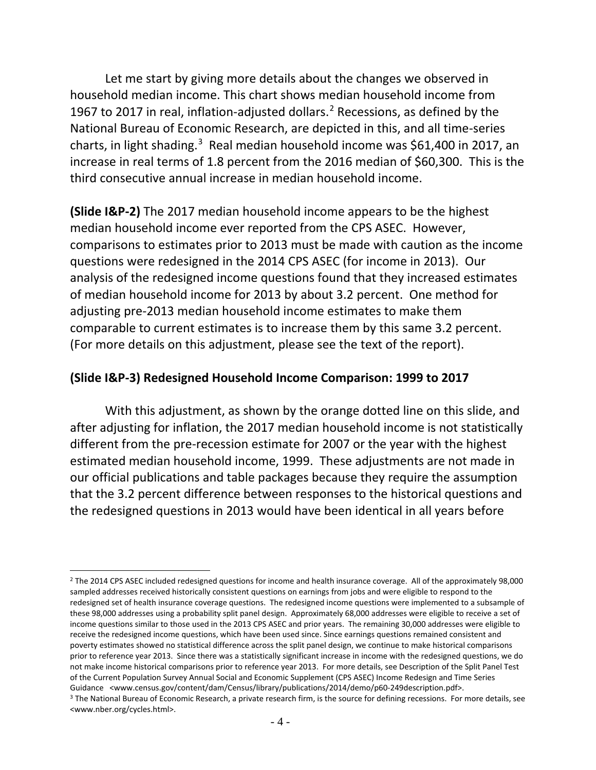Let me start by giving more details about the changes we observed in household median income. This chart shows median household income from 1967 to [2](#page-3-0)017 in real, inflation-adjusted dollars. $<sup>2</sup>$  Recessions, as defined by the</sup> National Bureau of Economic Research, are depicted in this, and all time-series charts, in light shading.<sup>[3](#page-3-1)</sup> Real median household income was \$61,400 in 2017, an increase in real terms of 1.8 percent from the 2016 median of \$60,300. This is the third consecutive annual increase in median household income.

**(Slide I&P-2)** The 2017 median household income appears to be the highest median household income ever reported from the CPS ASEC. However, comparisons to estimates prior to 2013 must be made with caution as the income questions were redesigned in the 2014 CPS ASEC (for income in 2013). Our analysis of the redesigned income questions found that they increased estimates of median household income for 2013 by about 3.2 percent. One method for adjusting pre-2013 median household income estimates to make them comparable to current estimates is to increase them by this same 3.2 percent. (For more details on this adjustment, please see the text of the report).

#### **(Slide I&P-3) Redesigned Household Income Comparison: 1999 to 2017**

With this adjustment, as shown by the orange dotted line on this slide, and after adjusting for inflation, the 2017 median household income is not statistically different from the pre-recession estimate for 2007 or the year with the highest estimated median household income, 1999. These adjustments are not made in our official publications and table packages because they require the assumption that the 3.2 percent difference between responses to the historical questions and the redesigned questions in 2013 would have been identical in all years before

<span id="page-3-0"></span> $\overline{a}$ <sup>2</sup> The 2014 CPS ASEC included redesigned questions for income and health insurance coverage. All of the approximately 98,000 sampled addresses received historically consistent questions on earnings from jobs and were eligible to respond to the redesigned set of health insurance coverage questions. The redesigned income questions were implemented to a subsample of these 98,000 addresses using a probability split panel design. Approximately 68,000 addresses were eligible to receive a set of income questions similar to those used in the 2013 CPS ASEC and prior years. The remaining 30,000 addresses were eligible to receive the redesigned income questions, which have been used since. Since earnings questions remained consistent and poverty estimates showed no statistical difference across the split panel design, we continue to make historical comparisons prior to reference year 2013. Since there was a statistically significant increase in income with the redesigned questions, we do not make income historical comparisons prior to reference year 2013. For more details, see Description of the Split Panel Test of the Current Population Survey Annual Social and Economic Supplement (CPS ASEC) Income Redesign and Time Series Guidance <www.census.gov/content/dam/Census/library/publications/2014/demo/p60-249description.pdf>.

<span id="page-3-1"></span><sup>&</sup>lt;sup>3</sup> The National Bureau of Economic Research, a private research firm, is the source for defining recessions. For more details, see <www.nber.org/cycles.html>.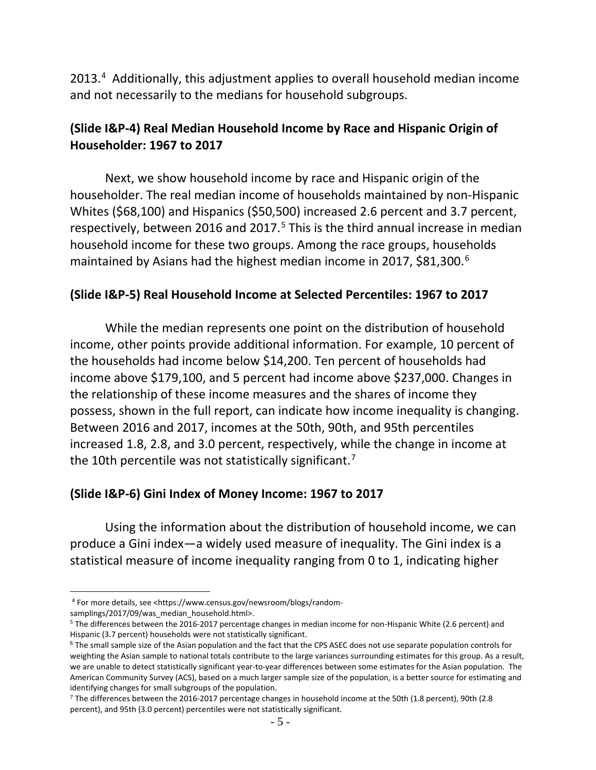2013.<sup>[4](#page-4-0)</sup> Additionally, this adjustment applies to overall household median income and not necessarily to the medians for household subgroups.

# **(Slide I&P-4) Real Median Household Income by Race and Hispanic Origin of Householder: 1967 to 2017**

Next, we show household income by race and Hispanic origin of the householder. The real median income of households maintained by non-Hispanic Whites (\$68,100) and Hispanics (\$50,500) increased 2.6 percent and 3.7 percent, respectively, between 2016 and 2017.<sup>[5](#page-4-1)</sup> This is the third annual increase in median household income for these two groups. Among the race groups, households maintained by Asians had the highest median income in 2017, \$81,300.<sup>[6](#page-4-2)</sup>

#### **(Slide I&P-5) Real Household Income at Selected Percentiles: 1967 to 2017**

While the median represents one point on the distribution of household income, other points provide additional information. For example, 10 percent of the households had income below \$14,200. Ten percent of households had income above \$179,100, and 5 percent had income above \$237,000. Changes in the relationship of these income measures and the shares of income they possess, shown in the full report, can indicate how income inequality is changing. Between 2016 and 2017, incomes at the 50th, 90th, and 95th percentiles increased 1.8, 2.8, and 3.0 percent, respectively, while the change in income at the 10th percentile was not statistically significant.<sup>[7](#page-4-3)</sup>

#### **(Slide I&P-6) Gini Index of Money Income: 1967 to 2017**

Using the information about the distribution of household income, we can produce a Gini index—a widely used measure of inequality. The Gini index is a statistical measure of income inequality ranging from 0 to 1, indicating higher

 $\overline{a}$ <sup>4</sup> For more details, see <https://www.census.gov/newsroom/blogs/random-

<span id="page-4-0"></span>samplings/2017/09/was\_median\_household.html>.

<span id="page-4-1"></span><sup>5</sup> The differences between the 2016-2017 percentage changes in median income for non-Hispanic White (2.6 percent) and Hispanic (3.7 percent) households were not statistically significant.

<span id="page-4-2"></span><sup>&</sup>lt;sup>6</sup> The small sample size of the Asian population and the fact that the CPS ASEC does not use separate population controls for weighting the Asian sample to national totals contribute to the large variances surrounding estimates for this group. As a result, we are unable to detect statistically significant year-to-year differences between some estimates for the Asian population. The American Community Survey (ACS), based on a much larger sample size of the population, is a better source for estimating and identifying changes for small subgroups of the population.

<span id="page-4-3"></span><sup>7</sup> The differences between the 2016-2017 percentage changes in household income at the 50th (1.8 percent), 90th (2.8 percent), and 95th (3.0 percent) percentiles were not statistically significant.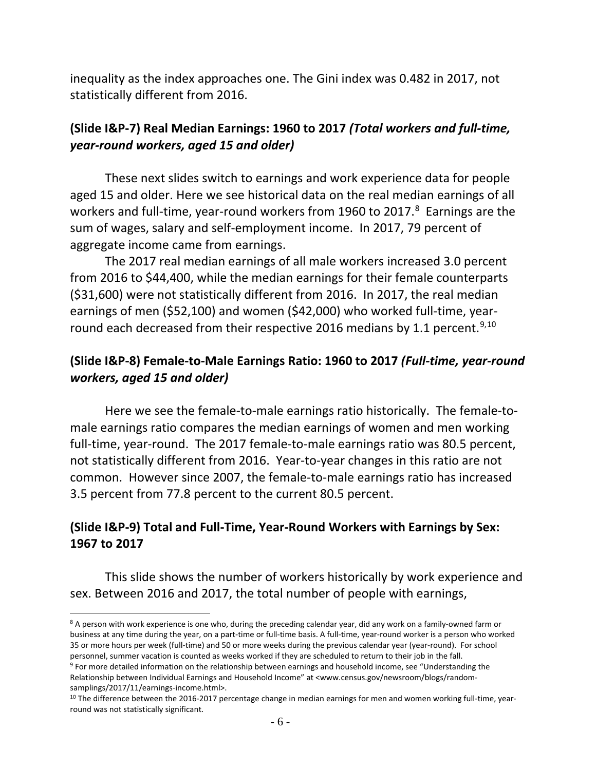inequality as the index approaches one. The Gini index was 0.482 in 2017, not statistically different from 2016.

# **(Slide I&P-7) Real Median Earnings: 1960 to 2017** *(Total workers and full-time, year-round workers, aged 15 and older)*

These next slides switch to earnings and work experience data for people aged 15 and older. Here we see historical data on the real median earnings of all workers and full-time, year-round workers from 1960 to 2017.<sup>[8](#page-5-0)</sup> Earnings are the sum of wages, salary and self-employment income. In 2017, 79 percent of aggregate income came from earnings.

The 2017 real median earnings of all male workers increased 3.0 percent from 2016 to \$44,400, while the median earnings for their female counterparts (\$31,600) were not statistically different from 2016. In 2017, the real median earnings of men (\$52,100) and women (\$42,000) who worked full-time, yearround each decreased from their respective 2016 medians by 1.1 percent.  $9,10$  $9,10$ 

# **(Slide I&P-8) Female-to-Male Earnings Ratio: 1960 to 2017** *(Full-time, year-round workers, aged 15 and older)*

Here we see the female-to-male earnings ratio historically. The female-tomale earnings ratio compares the median earnings of women and men working full-time, year-round. The 2017 female-to-male earnings ratio was 80.5 percent, not statistically different from 2016. Year-to-year changes in this ratio are not common. However since 2007, the female-to-male earnings ratio has increased 3.5 percent from 77.8 percent to the current 80.5 percent.

# **(Slide I&P-9) Total and Full-Time, Year-Round Workers with Earnings by Sex: 1967 to 2017**

This slide shows the number of workers historically by work experience and sex. Between 2016 and 2017, the total number of people with earnings,

<span id="page-5-0"></span> $\overline{a}$ <sup>8</sup> A person with work experience is one who, during the preceding calendar year, did any work on a family-owned farm or business at any time during the year, on a part-time or full-time basis. A full-time, year-round worker is a person who worked 35 or more hours per week (full-time) and 50 or more weeks during the previous calendar year (year-round). For school personnel, summer vacation is counted as weeks worked if they are scheduled to return to their job in the fall.

<span id="page-5-1"></span><sup>&</sup>lt;sup>9</sup> For more detailed information on the relationship between earnings and household income, see "Understanding the Relationship between Individual Earnings and Household Income" at <www.census.gov/newsroom/blogs/randomsamplings/2017/11/earnings-income.html>.

<span id="page-5-2"></span> $10$  The difference between the 2016-2017 percentage change in median earnings for men and women working full-time, yearround was not statistically significant.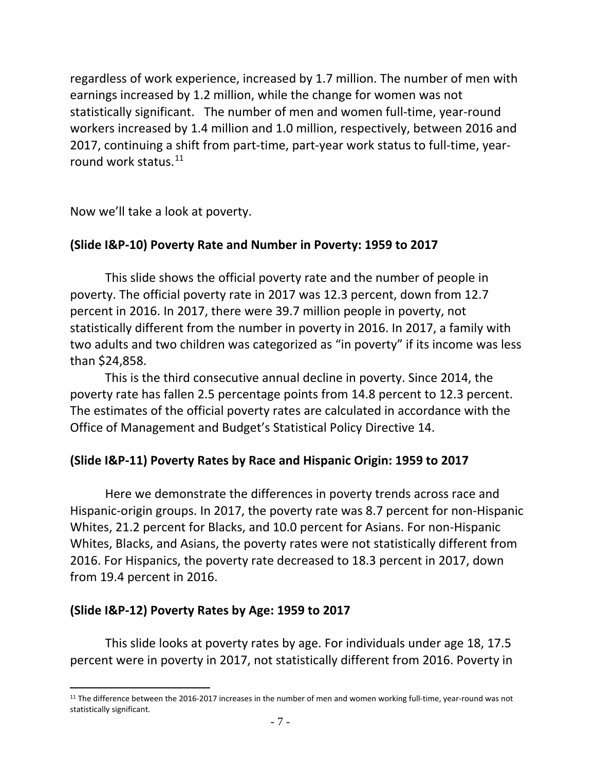regardless of work experience, increased by 1.7 million. The number of men with earnings increased by 1.2 million, while the change for women was not statistically significant. The number of men and women full-time, year-round workers increased by 1.4 million and 1.0 million, respectively, between 2016 and 2017, continuing a shift from part-time, part-year work status to full-time, year-round work status.<sup>[11](#page-6-0)</sup>

Now we'll take a look at poverty.

#### **(Slide I&P-10) Poverty Rate and Number in Poverty: 1959 to 2017**

This slide shows the official poverty rate and the number of people in poverty. The official poverty rate in 2017 was 12.3 percent, down from 12.7 percent in 2016. In 2017, there were 39.7 million people in poverty, not statistically different from the number in poverty in 2016. In 2017, a family with two adults and two children was categorized as "in poverty" if its income was less than \$24,858.

This is the third consecutive annual decline in poverty. Since 2014, the poverty rate has fallen 2.5 percentage points from 14.8 percent to 12.3 percent. The estimates of the official poverty rates are calculated in accordance with the Office of Management and Budget's Statistical Policy Directive 14.

#### **(Slide I&P-11) Poverty Rates by Race and Hispanic Origin: 1959 to 2017**

Here we demonstrate the differences in poverty trends across race and Hispanic-origin groups. In 2017, the poverty rate was 8.7 percent for non-Hispanic Whites, 21.2 percent for Blacks, and 10.0 percent for Asians. For non-Hispanic Whites, Blacks, and Asians, the poverty rates were not statistically different from 2016. For Hispanics, the poverty rate decreased to 18.3 percent in 2017, down from 19.4 percent in 2016.

#### **(Slide I&P-12) Poverty Rates by Age: 1959 to 2017**

This slide looks at poverty rates by age. For individuals under age 18, 17.5 percent were in poverty in 2017, not statistically different from 2016. Poverty in

<span id="page-6-0"></span> $\overline{a}$  $11$  The difference between the 2016-2017 increases in the number of men and women working full-time, year-round was not statistically significant.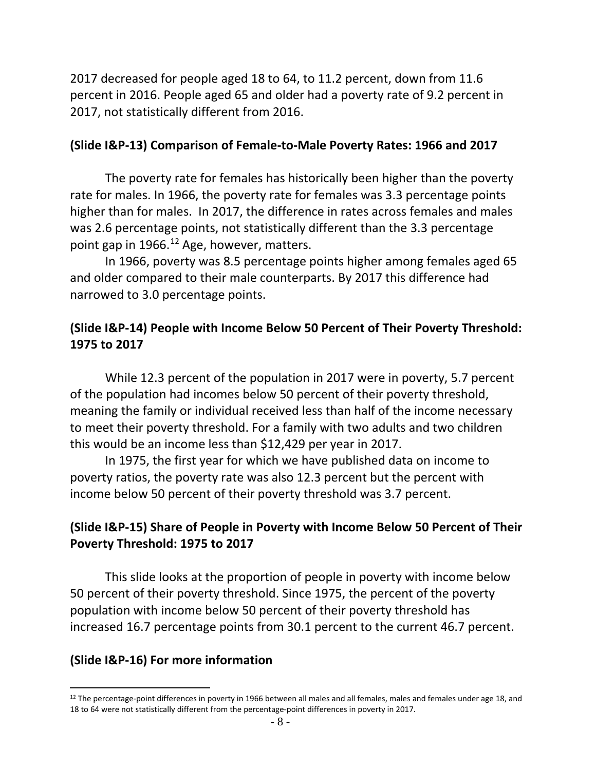2017 decreased for people aged 18 to 64, to 11.2 percent, down from 11.6 percent in 2016. People aged 65 and older had a poverty rate of 9.2 percent in 2017, not statistically different from 2016.

#### **(Slide I&P-13) Comparison of Female-to-Male Poverty Rates: 1966 and 2017**

The poverty rate for females has historically been higher than the poverty rate for males. In 1966, the poverty rate for females was 3.3 percentage points higher than for males. In 2017, the difference in rates across females and males was 2.6 percentage points, not statistically different than the 3.3 percentage point gap in 1966.<sup>[12](#page-7-0)</sup> Age, however, matters.

In 1966, poverty was 8.5 percentage points higher among females aged 65 and older compared to their male counterparts. By 2017 this difference had narrowed to 3.0 percentage points.

# **(Slide I&P-14) People with Income Below 50 Percent of Their Poverty Threshold: 1975 to 2017**

While 12.3 percent of the population in 2017 were in poverty, 5.7 percent of the population had incomes below 50 percent of their poverty threshold, meaning the family or individual received less than half of the income necessary to meet their poverty threshold. For a family with two adults and two children this would be an income less than \$12,429 per year in 2017.

In 1975, the first year for which we have published data on income to poverty ratios, the poverty rate was also 12.3 percent but the percent with income below 50 percent of their poverty threshold was 3.7 percent.

# **(Slide I&P-15) Share of People in Poverty with Income Below 50 Percent of Their Poverty Threshold: 1975 to 2017**

This slide looks at the proportion of people in poverty with income below 50 percent of their poverty threshold. Since 1975, the percent of the poverty population with income below 50 percent of their poverty threshold has increased 16.7 percentage points from 30.1 percent to the current 46.7 percent.

# **(Slide I&P-16) For more information**

<span id="page-7-0"></span> $\overline{a}$  $12$  The percentage-point differences in poverty in 1966 between all males and all females, males and females under age 18, and 18 to 64 were not statistically different from the percentage-point differences in poverty in 2017.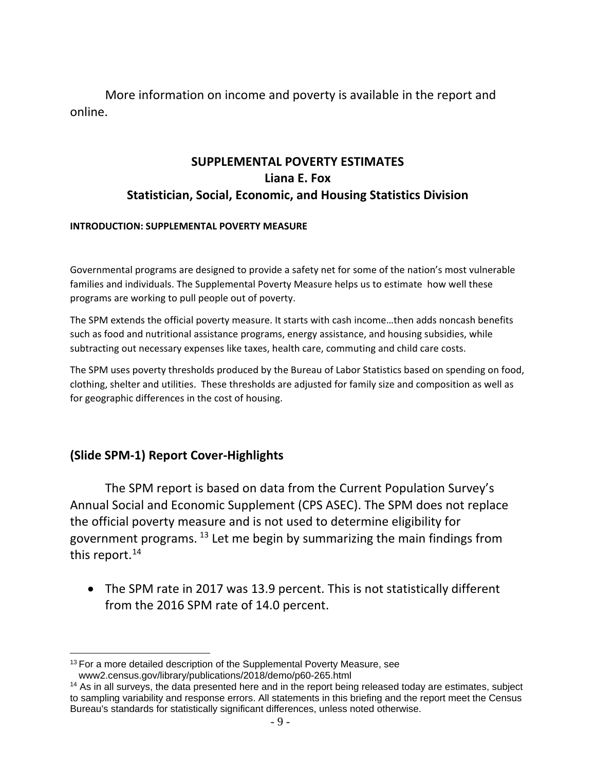More information on income and poverty is available in the report and online.

# **SUPPLEMENTAL POVERTY ESTIMATES Liana E. Fox Statistician, Social, Economic, and Housing Statistics Division**

#### **INTRODUCTION: SUPPLEMENTAL POVERTY MEASURE**

Governmental programs are designed to provide a safety net for some of the nation's most vulnerable families and individuals. The Supplemental Poverty Measure helps us to estimate how well these programs are working to pull people out of poverty.

The SPM extends the official poverty measure. It starts with cash income…then adds noncash benefits such as food and nutritional assistance programs, energy assistance, and housing subsidies, while subtracting out necessary expenses like taxes, health care, commuting and child care costs.

The SPM uses poverty thresholds produced by the Bureau of Labor Statistics based on spending on food, clothing, shelter and utilities. These thresholds are adjusted for family size and composition as well as for geographic differences in the cost of housing.

#### **(Slide SPM-1) Report Cover-Highlights**

The SPM report is based on data from the Current Population Survey's Annual Social and Economic Supplement (CPS ASEC). The SPM does not replace the official poverty measure and is not used to determine eligibility for government programs.  $^{13}$  $^{13}$  $^{13}$  Let me begin by summarizing the main findings from this report.<sup>[14](#page-8-1)</sup>

• The SPM rate in 2017 was 13.9 percent. This is not statistically different from the 2016 SPM rate of 14.0 percent.

<span id="page-8-0"></span> $\overline{a}$ <sup>13</sup> For a more detailed description of the Supplemental Poverty Measure, see www2.census.gov/library/publications/2018/demo/p60-265.html

<span id="page-8-1"></span> $14$  As in all surveys, the data presented here and in the report being released today are estimates, subject to sampling variability and response errors. All statements in this briefing and the report meet the Census Bureau's standards for statistically significant differences, unless noted otherwise.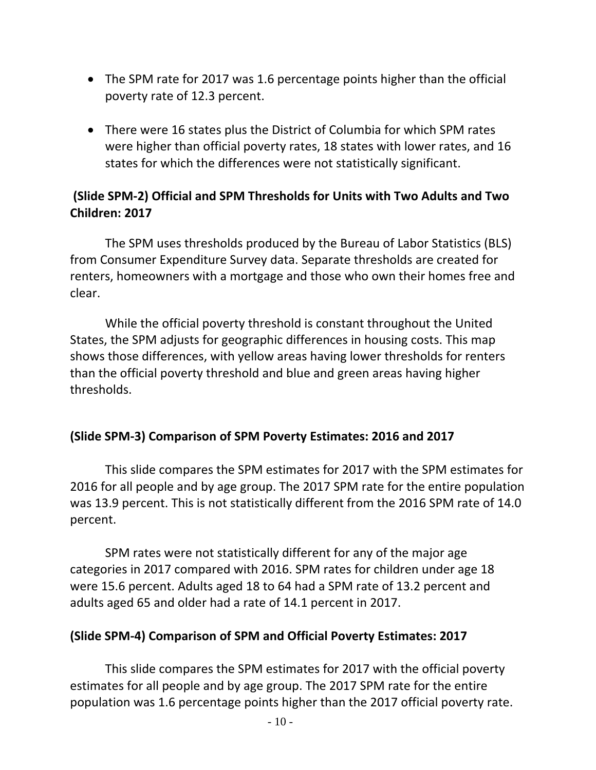- The SPM rate for 2017 was 1.6 percentage points higher than the official poverty rate of 12.3 percent.
- There were 16 states plus the District of Columbia for which SPM rates were higher than official poverty rates, 18 states with lower rates, and 16 states for which the differences were not statistically significant.

# **(Slide SPM-2) Official and SPM Thresholds for Units with Two Adults and Two Children: 2017**

The SPM uses thresholds produced by the Bureau of Labor Statistics (BLS) from Consumer Expenditure Survey data. Separate thresholds are created for renters, homeowners with a mortgage and those who own their homes free and clear.

While the official poverty threshold is constant throughout the United States, the SPM adjusts for geographic differences in housing costs. This map shows those differences, with yellow areas having lower thresholds for renters than the official poverty threshold and blue and green areas having higher thresholds.

# **(Slide SPM-3) Comparison of SPM Poverty Estimates: 2016 and 2017**

This slide compares the SPM estimates for 2017 with the SPM estimates for 2016 for all people and by age group. The 2017 SPM rate for the entire population was 13.9 percent. This is not statistically different from the 2016 SPM rate of 14.0 percent.

SPM rates were not statistically different for any of the major age categories in 2017 compared with 2016. SPM rates for children under age 18 were 15.6 percent. Adults aged 18 to 64 had a SPM rate of 13.2 percent and adults aged 65 and older had a rate of 14.1 percent in 2017.

# **(Slide SPM-4) Comparison of SPM and Official Poverty Estimates: 2017**

This slide compares the SPM estimates for 2017 with the official poverty estimates for all people and by age group. The 2017 SPM rate for the entire population was 1.6 percentage points higher than the 2017 official poverty rate.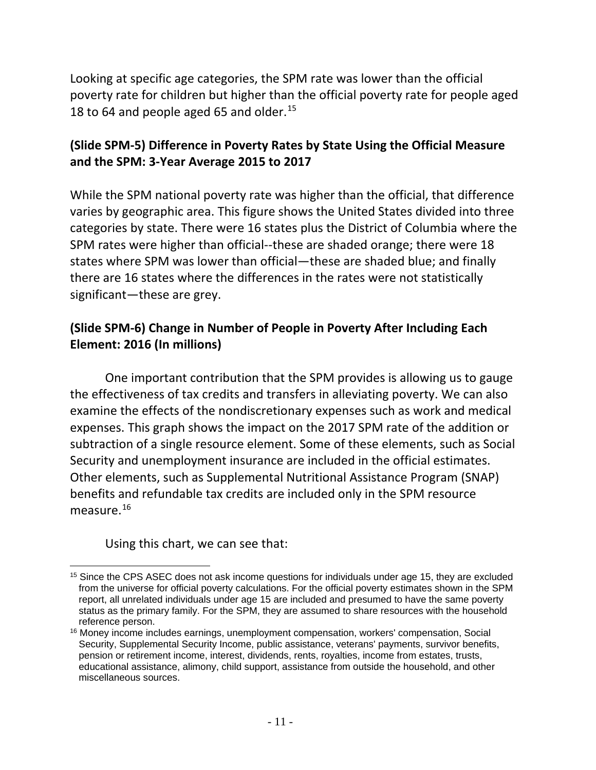Looking at specific age categories, the SPM rate was lower than the official poverty rate for children but higher than the official poverty rate for people aged 18 to 64 and people aged 65 and older.<sup>15</sup>

# **(Slide SPM-5) Difference in Poverty Rates by State Using the Official Measure and the SPM: 3-Year Average 2015 to 2017**

While the SPM national poverty rate was higher than the official, that difference varies by geographic area. This figure shows the United States divided into three categories by state. There were 16 states plus the District of Columbia where the SPM rates were higher than official--these are shaded orange; there were 18 states where SPM was lower than official—these are shaded blue; and finally there are 16 states where the differences in the rates were not statistically significant—these are grey.

# **(Slide SPM-6) Change in Number of People in Poverty After Including Each Element: 2016 (In millions)**

One important contribution that the SPM provides is allowing us to gauge the effectiveness of tax credits and transfers in alleviating poverty. We can also examine the effects of the nondiscretionary expenses such as work and medical expenses. This graph shows the impact on the 2017 SPM rate of the addition or subtraction of a single resource element. Some of these elements, such as Social Security and unemployment insurance are included in the official estimates. Other elements, such as Supplemental Nutritional Assistance Program (SNAP) benefits and refundable tax credits are included only in the SPM resource measure.<sup>[16](#page-10-1)</sup>

Using this chart, we can see that:

<span id="page-10-0"></span> $\overline{a}$ <sup>15</sup> Since the CPS ASEC does not ask income questions for individuals under age 15, they are excluded from the universe for official poverty calculations. For the official poverty estimates shown in the SPM report, all unrelated individuals under age 15 are included and presumed to have the same poverty status as the primary family. For the SPM, they are assumed to share resources with the household reference person.

<span id="page-10-1"></span><sup>&</sup>lt;sup>16</sup> Money income includes earnings, unemployment compensation, workers' compensation, Social Security, Supplemental Security Income, public assistance, veterans' payments, survivor benefits, pension or retirement income, interest, dividends, rents, royalties, income from estates, trusts, educational assistance, alimony, child support, assistance from outside the household, and other miscellaneous sources.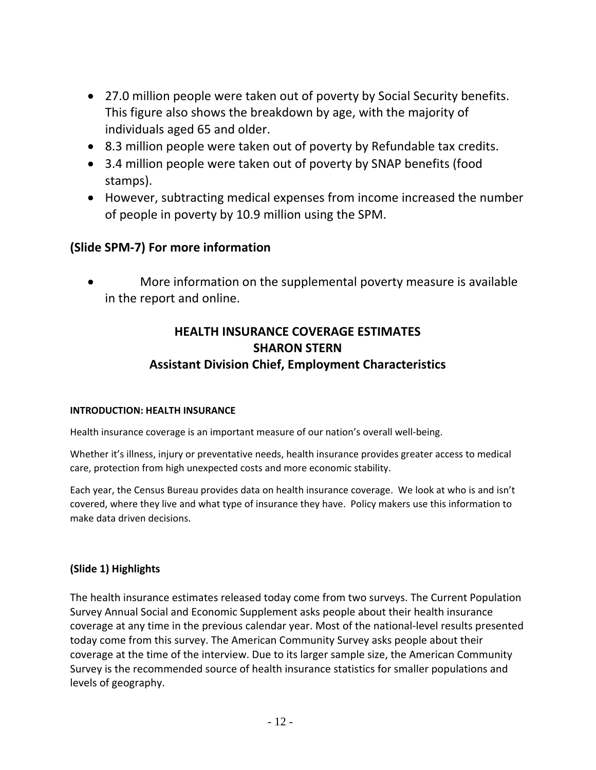- 27.0 million people were taken out of poverty by Social Security benefits. This figure also shows the breakdown by age, with the majority of individuals aged 65 and older.
- 8.3 million people were taken out of poverty by Refundable tax credits.
- 3.4 million people were taken out of poverty by SNAP benefits (food stamps).
- However, subtracting medical expenses from income increased the number of people in poverty by 10.9 million using the SPM.

#### **(Slide SPM-7) For more information**

• More information on the supplemental poverty measure is available in the report and online.

# **HEALTH INSURANCE COVERAGE ESTIMATES SHARON STERN Assistant Division Chief, Employment Characteristics**

#### **INTRODUCTION: HEALTH INSURANCE**

Health insurance coverage is an important measure of our nation's overall well-being.

Whether it's illness, injury or preventative needs, health insurance provides greater access to medical care, protection from high unexpected costs and more economic stability.

Each year, the Census Bureau provides data on health insurance coverage. We look at who is and isn't covered, where they live and what type of insurance they have. Policy makers use this information to make data driven decisions.

#### **(Slide 1) Highlights**

The health insurance estimates released today come from two surveys. The Current Population Survey Annual Social and Economic Supplement asks people about their health insurance coverage at any time in the previous calendar year. Most of the national-level results presented today come from this survey. The American Community Survey asks people about their coverage at the time of the interview. Due to its larger sample size, the American Community Survey is the recommended source of health insurance statistics for smaller populations and levels of geography.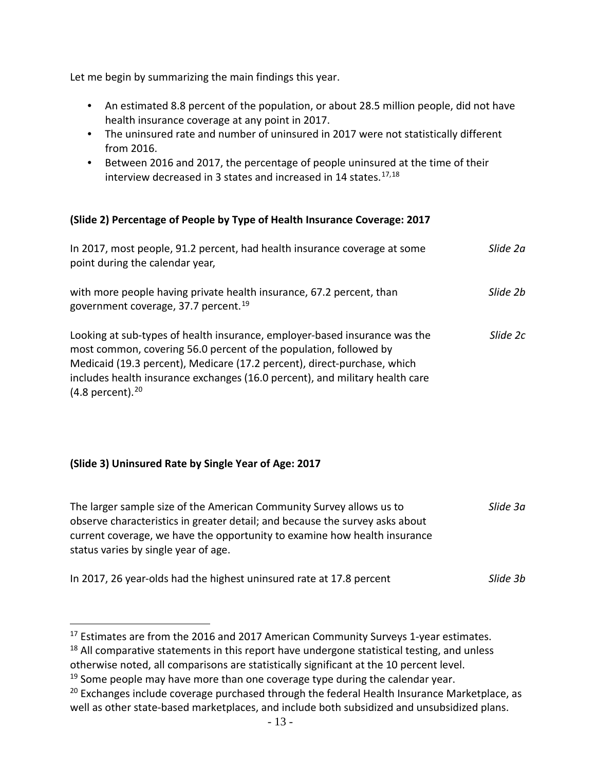Let me begin by summarizing the main findings this year.

- An estimated 8.8 percent of the population, or about 28.5 million people, did not have health insurance coverage at any point in 2017.
- The uninsured rate and number of uninsured in 2017 were not statistically different from 2016.
- Between 2016 and 2017, the percentage of people uninsured at the time of their interview decreased in 3 states and increased in 14 states. $17,18$  $17,18$  $17,18$

#### **(Slide 2) Percentage of People by Type of Health Insurance Coverage: 2017**

| In 2017, most people, 91.2 percent, had health insurance coverage at some<br>point during the calendar year,                                                                                                                                                                                                                         | Slide 2a |
|--------------------------------------------------------------------------------------------------------------------------------------------------------------------------------------------------------------------------------------------------------------------------------------------------------------------------------------|----------|
| with more people having private health insurance, 67.2 percent, than<br>government coverage, 37.7 percent. <sup>19</sup>                                                                                                                                                                                                             | Slide 2h |
| Looking at sub-types of health insurance, employer-based insurance was the<br>most common, covering 56.0 percent of the population, followed by<br>Medicaid (19.3 percent), Medicare (17.2 percent), direct-purchase, which<br>includes health insurance exchanges (16.0 percent), and military health care<br>$(4.8$ percent). $20$ | Slide 2c |

#### **(Slide 3) Uninsured Rate by Single Year of Age: 2017**

 $\overline{a}$ 

| The larger sample size of the American Community Survey allows us to<br>observe characteristics in greater detail; and because the survey asks about<br>current coverage, we have the opportunity to examine how health insurance<br>status varies by single year of age. | Slide 3a |
|---------------------------------------------------------------------------------------------------------------------------------------------------------------------------------------------------------------------------------------------------------------------------|----------|
| In 2017, 26 year-olds had the highest uninsured rate at 17.8 percent                                                                                                                                                                                                      | Slide 3h |

<span id="page-12-0"></span><sup>&</sup>lt;sup>17</sup> Estimates are from the 2016 and 2017 American Community Surveys 1-year estimates.

<span id="page-12-1"></span> $18$  All comparative statements in this report have undergone statistical testing, and unless otherwise noted, all comparisons are statistically significant at the 10 percent level.

<span id="page-12-2"></span><sup>&</sup>lt;sup>19</sup> Some people may have more than one coverage type during the calendar year.

<span id="page-12-3"></span> $20$  Exchanges include coverage purchased through the federal Health Insurance Marketplace, as well as other state-based marketplaces, and include both subsidized and unsubsidized plans.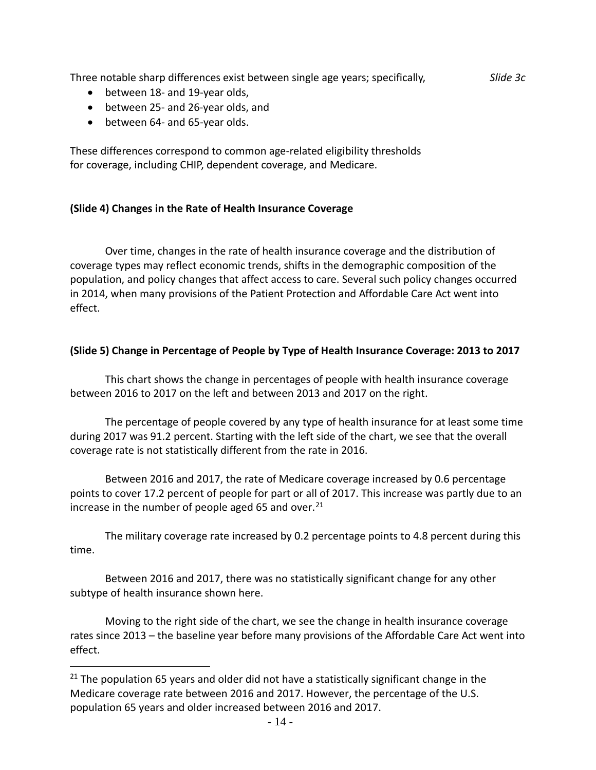| Three notable sharp differences exist between single age years; specifically,<br>between 18- and 19-year olds,<br>$\bullet$<br>between 25- and 26-year olds, and<br>$\bullet$<br>between 64- and 65-year olds.<br>$\bullet$ | Slide 3c |
|-----------------------------------------------------------------------------------------------------------------------------------------------------------------------------------------------------------------------------|----------|
| These differences correspond to common age-related eligibility thresholds<br>for coverage, including CHIP, dependent coverage, and Medicare.                                                                                |          |

#### **(Slide 4) Changes in the Rate of Health Insurance Coverage**

Over time, changes in the rate of health insurance coverage and the distribution of coverage types may reflect economic trends, shifts in the demographic composition of the population, and policy changes that affect access to care. Several such policy changes occurred in 2014, when many provisions of the Patient Protection and Affordable Care Act went into effect.

#### **(Slide 5) Change in Percentage of People by Type of Health Insurance Coverage: 2013 to 2017**

This chart shows the change in percentages of people with health insurance coverage between 2016 to 2017 on the left and between 2013 and 2017 on the right.

The percentage of people covered by any type of health insurance for at least some time during 2017 was 91.2 percent. Starting with the left side of the chart, we see that the overall coverage rate is not statistically different from the rate in 2016.

Between 2016 and 2017, the rate of Medicare coverage increased by 0.6 percentage points to cover 17.2 percent of people for part or all of 2017. This increase was partly due to an increase in the number of people aged 65 and over. $21$ 

The military coverage rate increased by 0.2 percentage points to 4.8 percent during this time.

Between 2016 and 2017, there was no statistically significant change for any other subtype of health insurance shown here.

Moving to the right side of the chart, we see the change in health insurance coverage rates since 2013 – the baseline year before many provisions of the Affordable Care Act went into effect.

 $\overline{a}$ 

<span id="page-13-0"></span> $21$  The population 65 years and older did not have a statistically significant change in the Medicare coverage rate between 2016 and 2017. However, the percentage of the U.S. population 65 years and older increased between 2016 and 2017.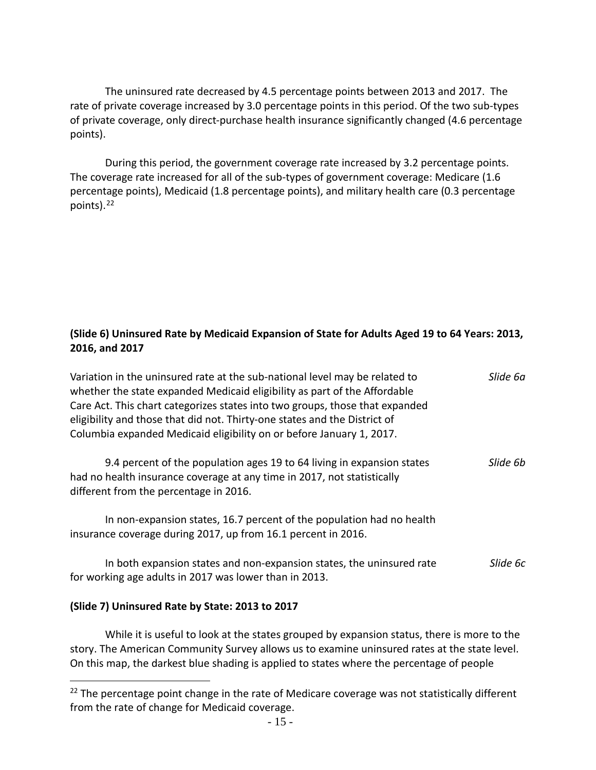The uninsured rate decreased by 4.5 percentage points between 2013 and 2017. The rate of private coverage increased by 3.0 percentage points in this period. Of the two sub-types of private coverage, only direct-purchase health insurance significantly changed (4.6 percentage points).

During this period, the government coverage rate increased by 3.2 percentage points. The coverage rate increased for all of the sub-types of government coverage: Medicare (1.6 percentage points), Medicaid (1.8 percentage points), and military health care (0.3 percentage points). [22](#page-14-0)

#### **(Slide 6) Uninsured Rate by Medicaid Expansion of State for Adults Aged 19 to 64 Years: 2013, 2016, and 2017**

| Variation in the uninsured rate at the sub-national level may be related to<br>whether the state expanded Medicaid eligibility as part of the Affordable<br>Care Act. This chart categorizes states into two groups, those that expanded<br>eligibility and those that did not. Thirty-one states and the District of<br>Columbia expanded Medicaid eligibility on or before January 1, 2017. | Slide 6a |
|-----------------------------------------------------------------------------------------------------------------------------------------------------------------------------------------------------------------------------------------------------------------------------------------------------------------------------------------------------------------------------------------------|----------|
| 9.4 percent of the population ages 19 to 64 living in expansion states<br>had no health insurance coverage at any time in 2017, not statistically<br>different from the percentage in 2016.                                                                                                                                                                                                   | Slide 6b |
| In non-expansion states, 16.7 percent of the population had no health<br>insurance coverage during 2017, up from 16.1 percent in 2016.                                                                                                                                                                                                                                                        |          |
| In both expansion states and non-expansion states, the uninsured rate<br>for working age adults in 2017 was lower than in 2013.                                                                                                                                                                                                                                                               | Slide 6c |

#### **(Slide 7) Uninsured Rate by State: 2013 to 2017**

 $\overline{a}$ 

While it is useful to look at the states grouped by expansion status, there is more to the story. The American Community Survey allows us to examine uninsured rates at the state level. On this map, the darkest blue shading is applied to states where the percentage of people

<span id="page-14-0"></span> $22$  The percentage point change in the rate of Medicare coverage was not statistically different from the rate of change for Medicaid coverage.